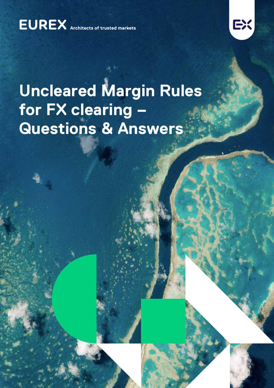### **EUREX** Architects of trusted markets



# Uncleared Margin Rules for FX clearing -Questions & Answers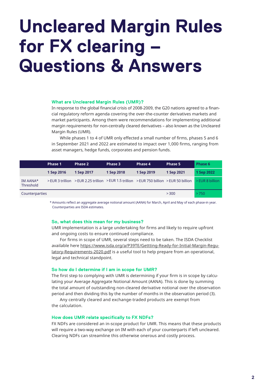# **Uncleared Margin Rules for FX clearing – Questions & Answers**

#### **What are Uncleared Margin Rules (UMR)?**

In response to the global financial crisis of 2008-2009, the G20 nations agreed to a financial regulatory reform agenda covering the over-the-counter derivatives markets and market participants. Among them were recommendations for implementing additional margin requirements for non-centrally cleared derivatives – also known as the Uncleared Margin Rules (UMR).

 While phases 1 to 4 of UMR only effected a small number of firms, phases 5 and 6 in September 2021 and 2022 are estimated to impact over 1,000 firms, ranging from asset managers, hedge funds, corporates and pension funds.

|                       | Phase 1    | Phase 2                                                                                              | Phase 3    | Phase 4    | Phase 5    | Phase 6             |
|-----------------------|------------|------------------------------------------------------------------------------------------------------|------------|------------|------------|---------------------|
|                       | 1 Sep 2016 | 1 Sep 2017                                                                                           | 1 Sep 2018 | 1 Sep 2019 | 1 Sep 2021 | 1 Sep 2022          |
| IM AANA*<br>Threshold |            | $>$ EUR 3 trillion $>$ EUR 2.25 trillion $>$ EUR 1.5 trillion $>$ EUR 750 billion $>$ EUR 50 billion |            |            |            | $\ge$ EUR 8 billion |
| Counterparties        |            |                                                                                                      |            |            | > 300      | >750                |

\* Amounts reflect an aggregate average notional amount (AANA) for March, April and May of each phase-in year. Counterparties are ISDA estimates.

#### **So, what does this mean for my business?**

UMR implementation is a large undertaking for firms and likely to require upfront and ongoing costs to ensure continued compliance.

 For firms in scope of UMR, several steps need to be taken. The ISDA Checklist available here [https://www.isda.org/a/P39TE/Gettting-Ready-for-Initial-Margin-Regu](https://www.isda.org/a/P39TE/Gettting-Ready-for-Initial-Margin-Regulatory-Requirements-2020.pdf)[latory-Requirements-2020.pdf](https://www.isda.org/a/P39TE/Gettting-Ready-for-Initial-Margin-Regulatory-Requirements-2020.pdf) is a useful tool to help prepare from an operational, legal and technical standpoint.

#### **So how do I determine if I am in scope for UMR?**

The first step to complying with UMR is determining if your firm is in scope by calculating your Average Aggregate Notional Amount (AANA). This is done by summing the total amount of outstanding non-cleared derivative notional over the observation period and then dividing this by the number of months in the observation period (3).

 Any centrally cleared and exchange-traded products are exempt from the calculation.

#### **How does UMR relate specifically to FX NDFs?**

FX NDFs are considered an in-scope product for UMR. This means that these products will require a two-way exchange on IM with each of your counterparts if left uncleared. Clearing NDFs can streamline this otherwise onerous and costly process.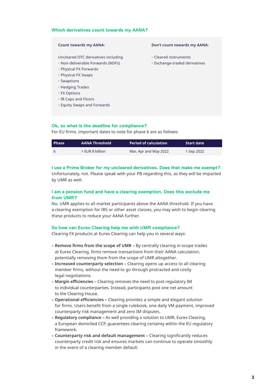#### **Which derivatives count towards my AANA?**

#### **Count towards my AANA:**

Uncleared OTC derivatives including

- Non-deliverable Forwards (NDFs)
- Physical FX Forwards
- Physical FX Swaps
- Swaptions
- Hedging Trades
- FX Options
- IR Caps and Floors
- Equity Swaps and Forwards

#### **Don't count towards my AANA:**

- Cleared instruments
- Exchange-traded derivatives

#### **Ok, so what is the deadline for compliance?**

For EU firms, important dates to note for phase 6 are as follows:

| <b>Phase</b> | <b>AANA Threshold</b> | <b>Period of calculation</b> | . Start date l |
|--------------|-----------------------|------------------------------|----------------|
| - 6          | $>$ EUR 8 billion     | Mar, Apr and May 2022        | 1 Sep 2022     |

#### **I use a Prime Broker for my uncleared derivatives. Does that make me exempt?**

Unfortunately, not. Please speak with your PB regarding this, as they will be impacted by UMR as well.

#### **I am a pension fund and have a clearing exemption. Does this exclude me from UMR?**

No, UMR applies to all market participants above the AANA threshold. If you have a clearing exemption for IRS or other asset classes, you may wish to begin clearing these products to reduce your AANA further.

#### **So how can Eurex Clearing help me with UMR compliance?**

Clearing FX products at Eurex Clearing can help you in several ways:

- **– Remove firms from the scope of UMR –** By centrally clearing in-scope trades at Eurex Clearing, firms remove transactions from their AANA calculation, potentially removing them from the scope of UMR altogether.
- **– Increased counterparty selection –** Clearing opens up access to all clearing member firms, without the need to go through protracted and costly legal negotiations.
- **– Margin efficiencies –** Clearing removes the need to post regulatory IM to individual counterparties. Instead, participants post one net amount to the Clearing House.
- **– Operational efficiencies –** Clearing provides a simple and elegant solution for firms. Users benefit from a single rulebook, one daily VM payment, improved counterparty risk management and zero IM disputes.
- **– Regulatory compliance –** As well providing a solution to UMR, Eurex Clearing, a European domiciled CCP, guarantees clearing certainty within the EU regulatory framework.
- **– Counterparty risk and default management –** Clearing significantly reduces counterparty credit risk and ensures markets can continue to operate smoothly in the event of a clearing member default.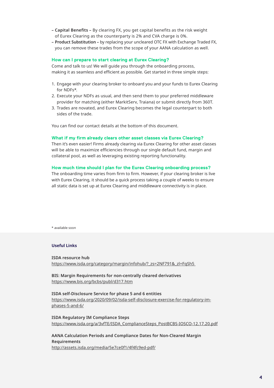- **– Capital Benefits –** By clearing FX, you get capital benefits as the risk weight of Eurex Clearing as the counterparty is 2% and CVA charge is 0%.
- **– Product Substitution –** by replacing your uncleared OTC FX with Exchange Traded FX, you can remove these trades from the scope of your AANA calculation as well.

#### **How can I prepare to start clearing at Eurex Clearing?**

Come and talk to us! We will guide you through the onboarding process, making it as seamless and efficient as possible. Get started in three simple steps:

- 1. Engage with your clearing broker to onboard you and your funds to Eurex Clearing for NDFs\*.
- 2. Execute your NDFs as usual, and then send them to your preferred middleware provider for matching (either MarkitServ, Traiana) or submit directly from 360T.
- 3. Trades are novated, and Eurex Clearing becomes the legal counterpart to both sides of the trade.

You can find our contact details at the bottom of this document.

#### **What if my firm already clears other asset classes via Eurex Clearing?**

Then it's even easier! Firms already clearing via Eurex Clearing for other asset classes will be able to maximize efficiencies through our single default fund, margin and collateral pool, as well as leveraging existing reporting functionality.

#### **How much time should I plan for the Eurex Clearing onboarding process?**

The onboarding time varies from firm to firm. However, if your clearing broker is live with Eurex Clearing, it should be a quick process taking a couple of weeks to ensure all static data is set up at Eurex Clearing and middleware connectivity is in place.

\* available soon

#### **Useful Links**

**ISDA resource hub** https://www.isda.org/category/margin/infohub/?\_zs=2NF791&\_zl=FqSh5

**BIS: Margin Requirements for non-centrally cleared derivatives** https://www.bis.org/bcbs/publ/d317.htm

**ISDA self-Disclosure Service for phase 5 and 6 entities** https://www.isda.org/2020/09/02/isda-self-disclosure-exercise-for-regulatory-imphases-5-and-6/

**ISDA Regulatory IM Compliance Steps** https://www.isda.org/a/3vfTE/ISDA\_ComplianceSteps\_PostBCBS-IOSCO-12.17.20.pdf

**AANA Calculation Periods and Compliance Dates for Non-Cleared Margin Requirements** http://assets.isda.org/media/5e7ce0f1/4f4fc9ed-pdf/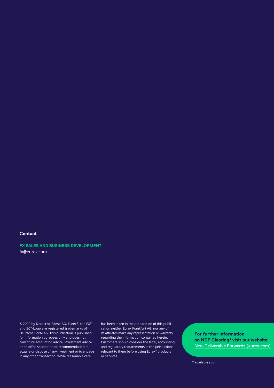#### **Contact**

**FX SALES AND BUSINESS DEVELOPMENT** fx@eurex.com

© 2022 by Deutsche Börse AG. Eurex®, the EX® and EC®-Logo are registered trademarks of Deutsche Börse AG. This publication is published for information purposes only and does not constitute accounting advice, investment advice or an offer, solicitation or recommendation to acquire or dispose of any investment or to engage in any other transaction. While reasonable care

has been taken in the preparation of this publication neither Eurex Frankfurt AG, nor any of its affiliates make any representation or warranty regarding the information contained herein. Customers should consider the legal, accounting and regulatory requirements in the jurisdictions relevant to them before using Eurex® products or services.

**For further information on NDF Clearing\* visit our website**  [Non-Deliverable Forwards \(eurex.com\)](https://www.eurex.com/ec-en/clear/ndf-clearing)

\* available soon